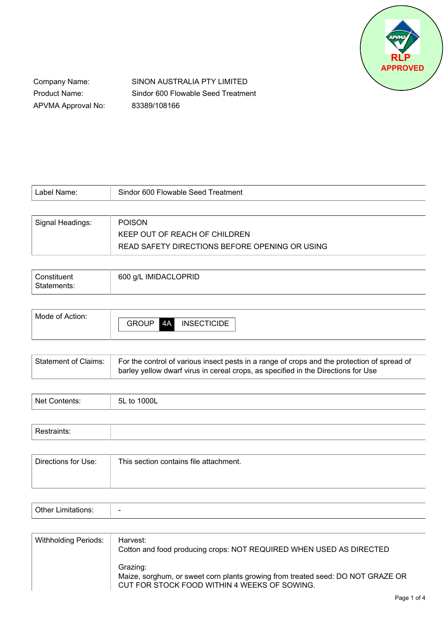

Company Name: Product Name: APVMA Approval No: SINON AUSTRALIA PTY LIMITED Sindor 600 Flowable Seed Treatment 83389/108166

| Label Name:      | Sindor 600 Flowable Seed Treatment             |
|------------------|------------------------------------------------|
|                  |                                                |
| Signal Headings: | <b>POISON</b>                                  |
|                  | KEEP OUT OF REACH OF CHILDREN                  |
|                  | READ SAFETY DIRECTIONS BEFORE OPENING OR USING |

| Constituent | 600 g/L IMIDACLOPRID |
|-------------|----------------------|
| Statements: |                      |

| Mode of Action: |                    |                         |
|-----------------|--------------------|-------------------------|
|                 | <b>GROUP</b><br>4A | TICIDE<br><b>INSECT</b> |
|                 |                    |                         |

| Statement of Claims: | For the control of various insect pests in a range of crops and the protection of spread of<br>barley yellow dwarf virus in cereal crops, as specified in the Directions for Use |
|----------------------|----------------------------------------------------------------------------------------------------------------------------------------------------------------------------------|
|                      |                                                                                                                                                                                  |

| Nat | '00L<br>-5L<br>. |
|-----|------------------|
|     |                  |

| Directions for Use: | This section contains file attachment. |
|---------------------|----------------------------------------|
|                     |                                        |
|                     |                                        |

| $\mathbf{v}$<br>-----<br>. |  |
|----------------------------|--|
|----------------------------|--|

| <b>Withholding Periods:</b> | Harvest:<br>Cotton and food producing crops: NOT REQUIRED WHEN USED AS DIRECTED                                                             |
|-----------------------------|---------------------------------------------------------------------------------------------------------------------------------------------|
|                             | Grazing:<br>Maize, sorghum, or sweet corn plants growing from treated seed: DO NOT GRAZE OR<br>CUT FOR STOCK FOOD WITHIN 4 WEEKS OF SOWING. |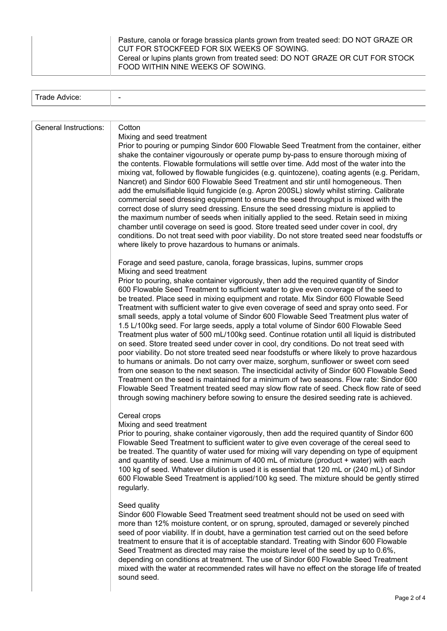T

| Trade Advice:                |                                                                                                                                                                                                                                                                                                                                                                                                                                                                                                                                                                                                                                                                                                                                                                                                                                                                                                                                                                                                                                                                                                                                                                                                                                                                                                                                                                                                                          |
|------------------------------|--------------------------------------------------------------------------------------------------------------------------------------------------------------------------------------------------------------------------------------------------------------------------------------------------------------------------------------------------------------------------------------------------------------------------------------------------------------------------------------------------------------------------------------------------------------------------------------------------------------------------------------------------------------------------------------------------------------------------------------------------------------------------------------------------------------------------------------------------------------------------------------------------------------------------------------------------------------------------------------------------------------------------------------------------------------------------------------------------------------------------------------------------------------------------------------------------------------------------------------------------------------------------------------------------------------------------------------------------------------------------------------------------------------------------|
|                              |                                                                                                                                                                                                                                                                                                                                                                                                                                                                                                                                                                                                                                                                                                                                                                                                                                                                                                                                                                                                                                                                                                                                                                                                                                                                                                                                                                                                                          |
| <b>General Instructions:</b> | Cotton<br>Mixing and seed treatment<br>Prior to pouring or pumping Sindor 600 Flowable Seed Treatment from the container, either<br>shake the container vigourously or operate pump by-pass to ensure thorough mixing of<br>the contents. Flowable formulations will settle over time. Add most of the water into the<br>mixing vat, followed by flowable fungicides (e.g. quintozene), coating agents (e.g. Peridam,<br>Nancret) and Sindor 600 Flowable Seed Treatment and stir until homogeneous. Then<br>add the emulsifiable liquid fungicide (e.g. Apron 200SL) slowly whilst stirring. Calibrate<br>commercial seed dressing equipment to ensure the seed throughput is mixed with the<br>correct dose of slurry seed dressing. Ensure the seed dressing mixture is applied to<br>the maximum number of seeds when initially applied to the seed. Retain seed in mixing<br>chamber until coverage on seed is good. Store treated seed under cover in cool, dry<br>conditions. Do not treat seed with poor viability. Do not store treated seed near foodstuffs or<br>where likely to prove hazardous to humans or animals.                                                                                                                                                                                                                                                                                        |
|                              | Forage and seed pasture, canola, forage brassicas, lupins, summer crops<br>Mixing and seed treatment<br>Prior to pouring, shake container vigorously, then add the required quantity of Sindor<br>600 Flowable Seed Treatment to sufficient water to give even coverage of the seed to<br>be treated. Place seed in mixing equipment and rotate. Mix Sindor 600 Flowable Seed<br>Treatment with sufficient water to give even coverage of seed and spray onto seed. For<br>small seeds, apply a total volume of Sindor 600 Flowable Seed Treatment plus water of<br>1.5 L/100kg seed. For large seeds, apply a total volume of Sindor 600 Flowable Seed<br>Treatment plus water of 500 mL/100kg seed. Continue rotation until all liquid is distributed<br>on seed. Store treated seed under cover in cool, dry conditions. Do not treat seed with<br>poor viability. Do not store treated seed near foodstuffs or where likely to prove hazardous<br>to humans or animals. Do not carry over maize, sorghum, sunflower or sweet corn seed<br>from one season to the next season. The insecticidal activity of Sindor 600 Flowable Seed<br>Treatment on the seed is maintained for a minimum of two seasons. Flow rate: Sindor 600<br>Flowable Seed Treatment treated seed may slow flow rate of seed. Check flow rate of seed<br>through sowing machinery before sowing to ensure the desired seeding rate is achieved. |
|                              | Cereal crops<br>Mixing and seed treatment<br>Prior to pouring, shake container vigorously, then add the required quantity of Sindor 600<br>Flowable Seed Treatment to sufficient water to give even coverage of the cereal seed to<br>be treated. The quantity of water used for mixing will vary depending on type of equipment<br>and quantity of seed. Use a minimum of 400 mL of mixture (product + water) with each<br>100 kg of seed. Whatever dilution is used it is essential that 120 mL or (240 mL) of Sindor<br>600 Flowable Seed Treatment is applied/100 kg seed. The mixture should be gently stirred<br>regularly.<br>Seed quality<br>Sindor 600 Flowable Seed Treatment seed treatment should not be used on seed with                                                                                                                                                                                                                                                                                                                                                                                                                                                                                                                                                                                                                                                                                   |
|                              | more than 12% moisture content, or on sprung, sprouted, damaged or severely pinched<br>seed of poor viability. If in doubt, have a germination test carried out on the seed before<br>treatment to ensure that it is of acceptable standard. Treating with Sindor 600 Flowable<br>Seed Treatment as directed may raise the moisture level of the seed by up to 0.6%,<br>depending on conditions at treatment. The use of Sindor 600 Flowable Seed Treatment<br>mixed with the water at recommended rates will have no effect on the storage life of treated<br>sound seed.                                                                                                                                                                                                                                                                                                                                                                                                                                                                                                                                                                                                                                                                                                                                                                                                                                               |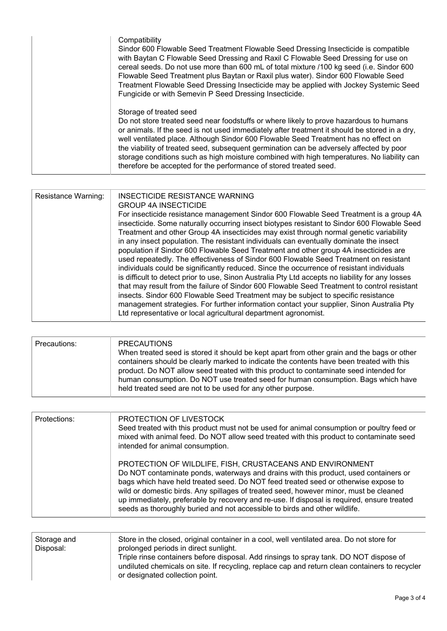| Compatibility<br>Sindor 600 Flowable Seed Treatment Flowable Seed Dressing Insecticide is compatible<br>with Baytan C Flowable Seed Dressing and Raxil C Flowable Seed Dressing for use on<br>cereal seeds. Do not use more than 600 mL of total mixture /100 kg seed (i.e. Sindor 600<br>Flowable Seed Treatment plus Baytan or Raxil plus water). Sindor 600 Flowable Seed<br>Treatment Flowable Seed Dressing Insecticide may be applied with Jockey Systemic Seed<br>Fungicide or with Semevin P Seed Dressing Insecticide.                                         |
|-------------------------------------------------------------------------------------------------------------------------------------------------------------------------------------------------------------------------------------------------------------------------------------------------------------------------------------------------------------------------------------------------------------------------------------------------------------------------------------------------------------------------------------------------------------------------|
| Storage of treated seed<br>Do not store treated seed near foodstuffs or where likely to prove hazardous to humans<br>or animals. If the seed is not used immediately after treatment it should be stored in a dry,<br>well ventilated place. Although Sindor 600 Flowable Seed Treatment has no effect on<br>the viability of treated seed, subsequent germination can be adversely affected by poor<br>storage conditions such as high moisture combined with high temperatures. No liability can<br>therefore be accepted for the performance of stored treated seed. |

| Resistance Warning: | INSECTICIDE RESISTANCE WARNING<br><b>GROUP 4A INSECTICIDE</b><br>For insecticide resistance management Sindor 600 Flowable Seed Treatment is a group 4A<br>insecticide. Some naturally occurring insect biotypes resistant to Sindor 600 Flowable Seed<br>Treatment and other Group 4A insecticides may exist through normal genetic variability<br>in any insect population. The resistant individuals can eventually dominate the insect<br>population if Sindor 600 Flowable Seed Treatment and other group 4A insecticides are<br>used repeatedly. The effectiveness of Sindor 600 Flowable Seed Treatment on resistant<br>individuals could be significantly reduced. Since the occurrence of resistant individuals<br>is difficult to detect prior to use, Sinon Australia Pty Ltd accepts no liability for any losses<br>that may result from the failure of Sindor 600 Flowable Seed Treatment to control resistant<br>insects. Sindor 600 Flowable Seed Treatment may be subject to specific resistance<br>management strategies. For further information contact your supplier, Sinon Australia Pty<br>Ltd representative or local agricultural department agronomist. |
|---------------------|----------------------------------------------------------------------------------------------------------------------------------------------------------------------------------------------------------------------------------------------------------------------------------------------------------------------------------------------------------------------------------------------------------------------------------------------------------------------------------------------------------------------------------------------------------------------------------------------------------------------------------------------------------------------------------------------------------------------------------------------------------------------------------------------------------------------------------------------------------------------------------------------------------------------------------------------------------------------------------------------------------------------------------------------------------------------------------------------------------------------------------------------------------------------------------|

| <b>PRECAUTIONS</b><br>Precautions:                                                                                                                   |                                                                                                                                                                                                                                                                             |
|------------------------------------------------------------------------------------------------------------------------------------------------------|-----------------------------------------------------------------------------------------------------------------------------------------------------------------------------------------------------------------------------------------------------------------------------|
| product. Do NOT allow seed treated with this product to contaminate seed intended for<br>held treated seed are not to be used for any other purpose. | When treated seed is stored it should be kept apart from other grain and the bags or other<br>containers should be clearly marked to indicate the contents have been treated with this<br>human consumption. Do NOT use treated seed for human consumption. Bags which have |

| Protections: | PROTECTION OF LIVESTOCK<br>Seed treated with this product must not be used for animal consumption or poultry feed or<br>mixed with animal feed. Do NOT allow seed treated with this product to contaminate seed<br>intended for animal consumption.                                                                                                                                                                                                                                                          |
|--------------|--------------------------------------------------------------------------------------------------------------------------------------------------------------------------------------------------------------------------------------------------------------------------------------------------------------------------------------------------------------------------------------------------------------------------------------------------------------------------------------------------------------|
|              | PROTECTION OF WILDLIFE, FISH, CRUSTACEANS AND ENVIRONMENT<br>Do NOT contaminate ponds, waterways and drains with this product, used containers or<br>bags which have held treated seed. Do NOT feed treated seed or otherwise expose to<br>wild or domestic birds. Any spillages of treated seed, however minor, must be cleaned<br>up immediately, preferable by recovery and re-use. If disposal is required, ensure treated<br>seeds as thoroughly buried and not accessible to birds and other wildlife. |

| Storage and<br>Disposal: | Store in the closed, original container in a cool, well ventilated area. Do not store for<br>prolonged periods in direct sunlight.<br>Triple rinse containers before disposal. Add rinsings to spray tank. DO NOT dispose of<br>undiluted chemicals on site. If recycling, replace cap and return clean containers to recycler |
|--------------------------|--------------------------------------------------------------------------------------------------------------------------------------------------------------------------------------------------------------------------------------------------------------------------------------------------------------------------------|
|                          | or designated collection point.                                                                                                                                                                                                                                                                                                |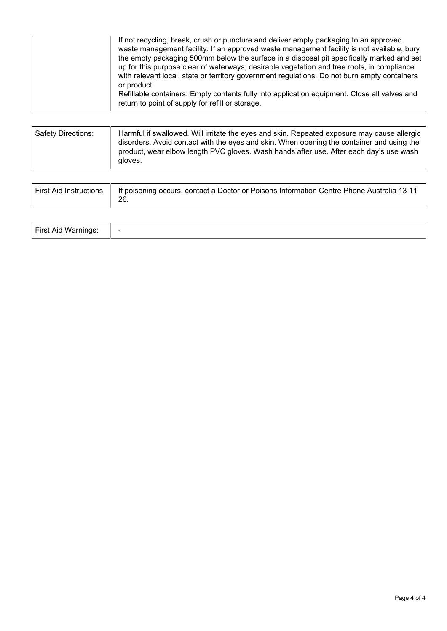| If not recycling, break, crush or puncture and deliver empty packaging to an approved<br>waste management facility. If an approved waste management facility is not available, bury<br>the empty packaging 500mm below the surface in a disposal pit specifically marked and set<br>up for this purpose clear of waterways, desirable vegetation and tree roots, in compliance<br>with relevant local, state or territory government regulations. Do not burn empty containers<br>or product<br>Refillable containers: Empty contents fully into application equipment. Close all valves and |
|----------------------------------------------------------------------------------------------------------------------------------------------------------------------------------------------------------------------------------------------------------------------------------------------------------------------------------------------------------------------------------------------------------------------------------------------------------------------------------------------------------------------------------------------------------------------------------------------|
| return to point of supply for refill or storage.                                                                                                                                                                                                                                                                                                                                                                                                                                                                                                                                             |

| Safety Directions: | Harmful if swallowed. Will irritate the eyes and skin. Repeated exposure may cause allergic<br>disorders. Avoid contact with the eyes and skin. When opening the container and using the<br>product, wear elbow length PVC gloves. Wash hands after use. After each day's use wash |
|--------------------|------------------------------------------------------------------------------------------------------------------------------------------------------------------------------------------------------------------------------------------------------------------------------------|
|                    | gloves.                                                                                                                                                                                                                                                                            |

| First Aid Instructions:   If poisoning occurs, contact a Doctor or Poisons Information Centre Phone Australia 13 11<br>26. |
|----------------------------------------------------------------------------------------------------------------------------|
|                                                                                                                            |

| First Aid<br>W. | $\overline{\phantom{0}}$ |
|-----------------|--------------------------|
|-----------------|--------------------------|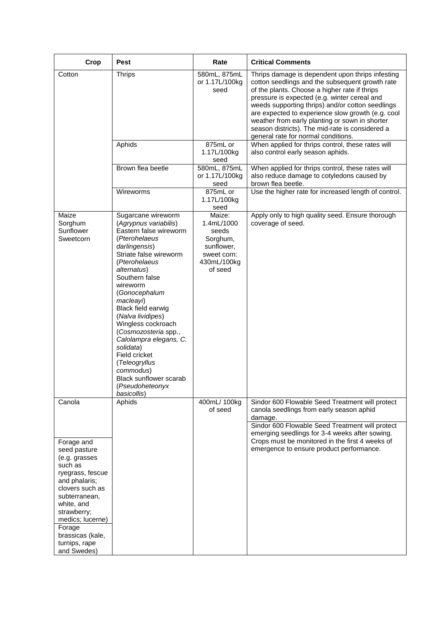| Crop                                                                                                                                                                                                                                           | <b>Pest</b>                                                                                                                                                                                                                                                                                                                                                                                                                                                              | Rate                                                                                             | <b>Critical Comments</b>                                                                                                                                                                                                                                                                                                                                                                                                                                  |
|------------------------------------------------------------------------------------------------------------------------------------------------------------------------------------------------------------------------------------------------|--------------------------------------------------------------------------------------------------------------------------------------------------------------------------------------------------------------------------------------------------------------------------------------------------------------------------------------------------------------------------------------------------------------------------------------------------------------------------|--------------------------------------------------------------------------------------------------|-----------------------------------------------------------------------------------------------------------------------------------------------------------------------------------------------------------------------------------------------------------------------------------------------------------------------------------------------------------------------------------------------------------------------------------------------------------|
| Cotton                                                                                                                                                                                                                                         | <b>Thrips</b>                                                                                                                                                                                                                                                                                                                                                                                                                                                            | 580mL, 875mL<br>or 1.17L/100kg<br>seed                                                           | Thrips damage is dependent upon thrips infesting<br>cotton seedlings and the subsequent growth rate<br>of the plants. Choose a higher rate if thrips<br>pressure is expected (e.g. winter cereal and<br>weeds supporting thrips) and/or cotton seedlings<br>are expected to experience slow growth (e.g. cool<br>weather from early planting or sown in shorter<br>season districts). The mid-rate is considered a<br>general rate for normal conditions. |
|                                                                                                                                                                                                                                                | Aphids                                                                                                                                                                                                                                                                                                                                                                                                                                                                   | 875mL or<br>1.17L/100kg<br>seed                                                                  | When applied for thrips control, these rates will<br>also control early season aphids.                                                                                                                                                                                                                                                                                                                                                                    |
|                                                                                                                                                                                                                                                | Brown flea beetle                                                                                                                                                                                                                                                                                                                                                                                                                                                        | 580mL, 875mL<br>or 1.17L/100kg<br>seed                                                           | When applied for thrips control, these rates will<br>also reduce damage to cotyledons caused by<br>brown flea beetle.                                                                                                                                                                                                                                                                                                                                     |
|                                                                                                                                                                                                                                                | Wireworms                                                                                                                                                                                                                                                                                                                                                                                                                                                                | 875mL or<br>1.17L/100kg<br>seed                                                                  | Use the higher rate for increased length of control.                                                                                                                                                                                                                                                                                                                                                                                                      |
| Maize<br>Sorghum<br>Sunflower<br>Sweetcorn                                                                                                                                                                                                     | Sugarcane wireworm<br>(Agrypnus variabilis)<br>Eastern false wireworm<br>(Pterohelaeus<br>darlingensis)<br>Striate false wireworm<br>(Pterohelaeus<br>alternatus)<br>Southern false<br>wireworm<br>(Gonocephalum<br>macleayi)<br>Black field earwig<br>(Nalva lividipes)<br>Wingless cockroach<br>(Cosmozosteria spp.,<br>Calolampra elegans, C.<br>solidata)<br>Field cricket<br>(Teleogryllus<br>commodus)<br>Black sunflower scarab<br>(Pseudoheteonyx<br>basicollis) | Maize:<br>1.4mL/1000<br>seeds<br>Sorghum,<br>sunflower,<br>sweet corn:<br>430mL/100kg<br>of seed | Apply only to high quality seed. Ensure thorough<br>coverage of seed.                                                                                                                                                                                                                                                                                                                                                                                     |
| Canola                                                                                                                                                                                                                                         | Aphids                                                                                                                                                                                                                                                                                                                                                                                                                                                                   | 400mL/ 100kg<br>of seed                                                                          | Sindor 600 Flowable Seed Treatment will protect<br>canola seedlings from early season aphid<br>damage.<br>Sindor 600 Flowable Seed Treatment will protect<br>emerging seedlings for 3-4 weeks after sowing.                                                                                                                                                                                                                                               |
| Forage and<br>seed pasture<br>(e.g. grasses<br>such as<br>ryegrass, fescue<br>and phalaris;<br>clovers such as<br>subterranean,<br>white, and<br>strawberry;<br>medics; lucerne)<br>Forage<br>brassicas (kale,<br>turnips, rape<br>and Swedes) |                                                                                                                                                                                                                                                                                                                                                                                                                                                                          |                                                                                                  | Crops must be monitored in the first 4 weeks of<br>emergence to ensure product performance.                                                                                                                                                                                                                                                                                                                                                               |